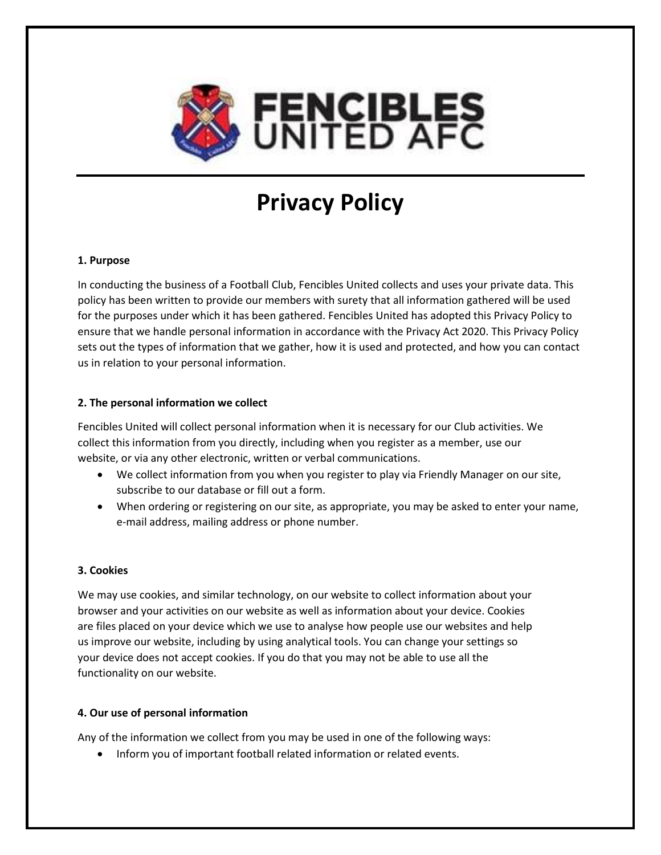

# **Privacy Policy**

#### **1. Purpose**

In conducting the business of a Football Club, Fencibles United collects and uses your private data. This policy has been written to provide our members with surety that all information gathered will be used for the purposes under which it has been gathered. Fencibles United has adopted this Privacy Policy to ensure that we handle personal information in accordance with the Privacy Act 2020. This Privacy Policy sets out the types of information that we gather, how it is used and protected, and how you can contact us in relation to your personal information.

### **2. The personal information we collect**

Fencibles United will collect personal information when it is necessary for our Club activities. We collect this information from you directly, including when you register as a member, use our website, or via any other electronic, written or verbal communications.

- We collect information from you when you register to play via Friendly Manager on our site, subscribe to our database or fill out a form.
- When ordering or registering on our site, as appropriate, you may be asked to enter your name, e-mail address, mailing address or phone number.

## **3. Cookies**

We may use cookies, and similar technology, on our website to collect information about your browser and your activities on our website as well as information about your device. Cookies are files placed on your device which we use to analyse how people use our websites and help us improve our website, including by using analytical tools. You can change your settings so your device does not accept cookies. If you do that you may not be able to use all the functionality on our website.

## **4. Our use of personal information**

Any of the information we collect from you may be used in one of the following ways:

• Inform you of important football related information or related events.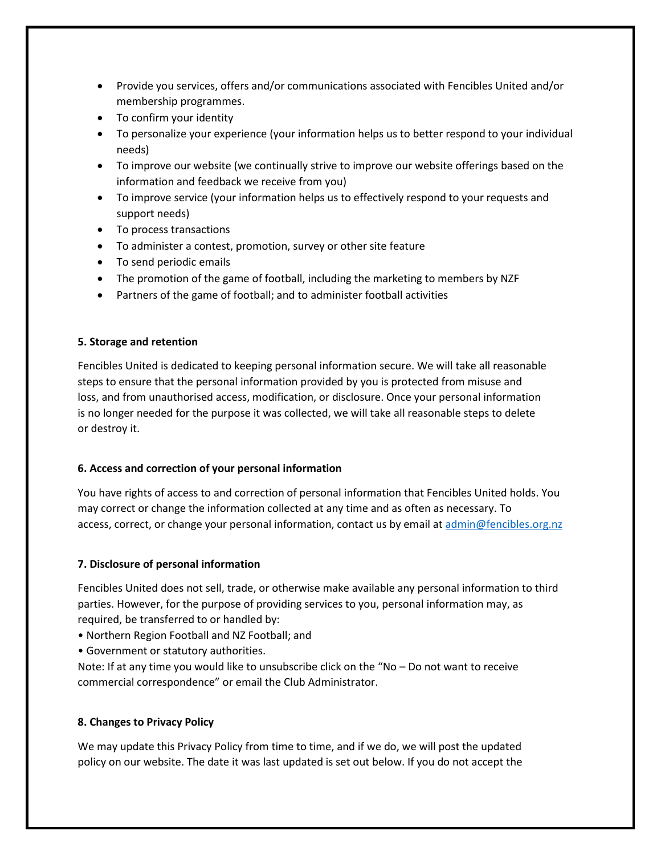- Provide you services, offers and/or communications associated with Fencibles United and/or membership programmes.
- To confirm your identity
- To personalize your experience (your information helps us to better respond to your individual needs)
- To improve our website (we continually strive to improve our website offerings based on the information and feedback we receive from you)
- To improve service (your information helps us to effectively respond to your requests and support needs)
- To process transactions
- To administer a contest, promotion, survey or other site feature
- To send periodic emails
- The promotion of the game of football, including the marketing to members by NZF
- Partners of the game of football; and to administer football activities

#### **5. Storage and retention**

Fencibles United is dedicated to keeping personal information secure. We will take all reasonable steps to ensure that the personal information provided by you is protected from misuse and loss, and from unauthorised access, modification, or disclosure. Once your personal information is no longer needed for the purpose it was collected, we will take all reasonable steps to delete or destroy it.

#### **6. Access and correction of your personal information**

You have rights of access to and correction of personal information that Fencibles United holds. You may correct or change the information collected at any time and as often as necessary. To access, correct, or change your personal information, contact us by email a[t admin@fencibles.org.nz](mailto:admin@fencibles.org.nz)

#### **7. Disclosure of personal information**

Fencibles United does not sell, trade, or otherwise make available any personal information to third parties. However, for the purpose of providing services to you, personal information may, as required, be transferred to or handled by:

- Northern Region Football and NZ Football; and
- Government or statutory authorities.

Note: If at any time you would like to unsubscribe click on the "No – Do not want to receive commercial correspondence" or email the Club Administrator.

#### **8. Changes to Privacy Policy**

We may update this Privacy Policy from time to time, and if we do, we will post the updated policy on our website. The date it was last updated is set out below. If you do not accept the